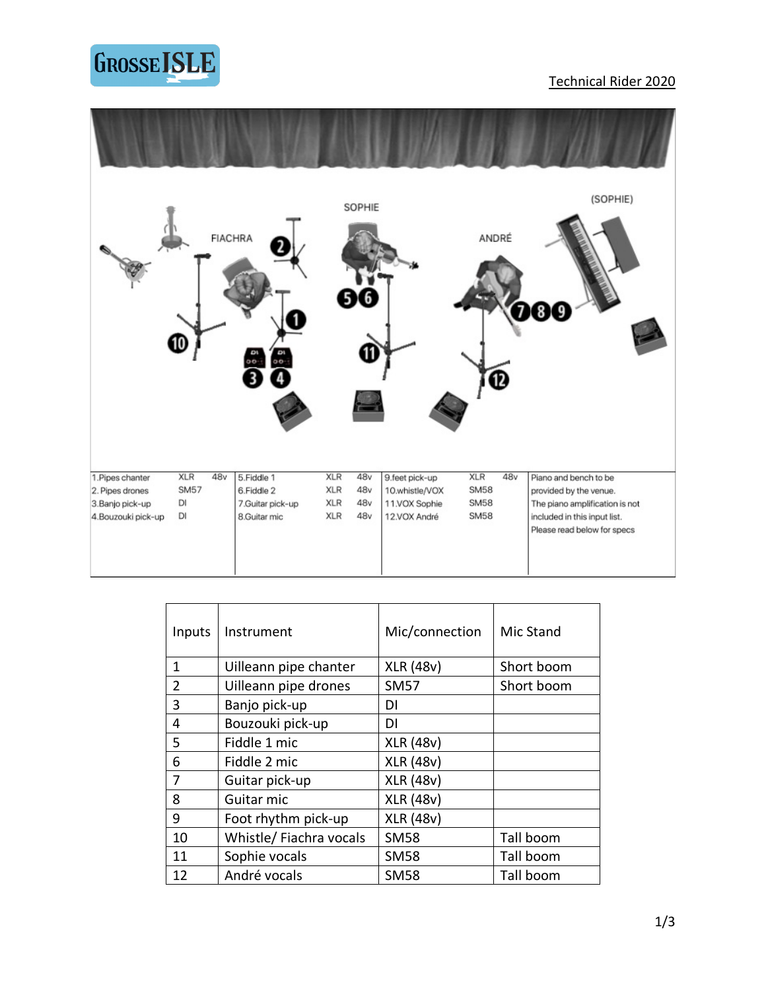

#### Technical Rider 2020



| Inputs         | Instrument             | Mic/connection   | Mic Stand  |
|----------------|------------------------|------------------|------------|
| 1              | Uilleann pipe chanter  | <b>XLR (48v)</b> | Short boom |
| $\mathfrak{D}$ | Uilleann pipe drones   | <b>SM57</b>      | Short boom |
| 3              | Banjo pick-up          | DI               |            |
| 4              | Bouzouki pick-up       | DI               |            |
| 5              | Fiddle 1 mic           | <b>XLR (48v)</b> |            |
| 6              | Fiddle 2 mic           | <b>XLR (48v)</b> |            |
| 7              | Guitar pick-up         | <b>XLR (48v)</b> |            |
| 8              | Guitar mic             | <b>XLR (48v)</b> |            |
| 9              | Foot rhythm pick-up    | <b>XLR (48v)</b> |            |
| 10             | Whistle/Fiachra vocals | <b>SM58</b>      | Tall boom  |
| 11             | Sophie vocals          | <b>SM58</b>      | Tall boom  |
| 12             | André vocals           | <b>SM58</b>      | Tall boom  |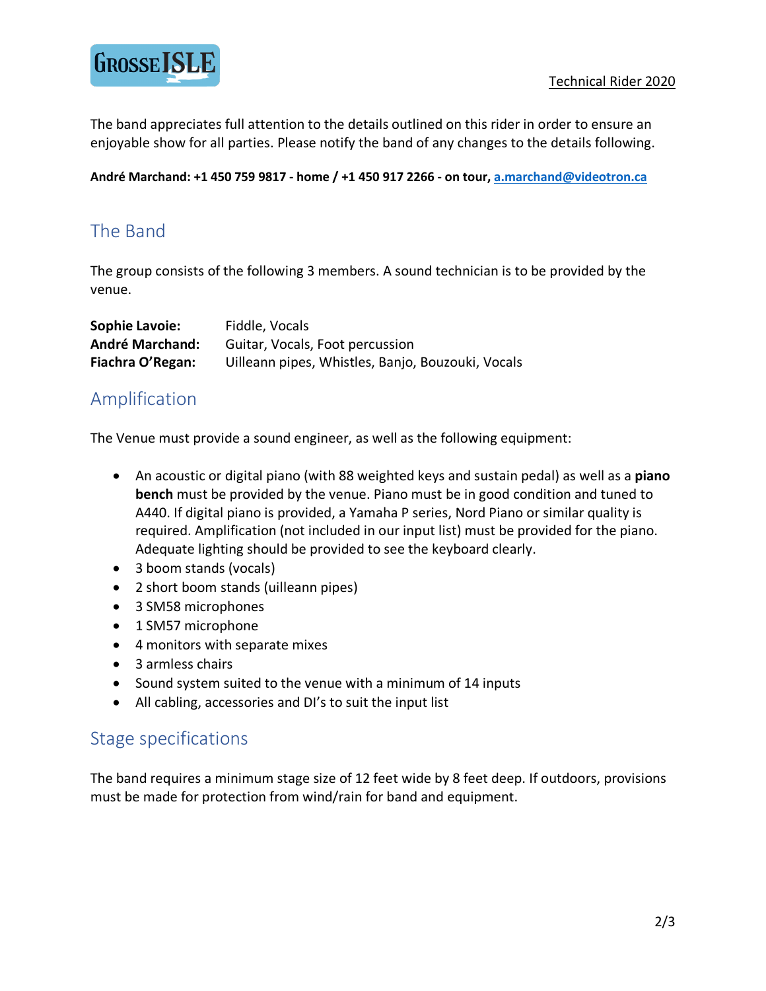

The band appreciates full attention to the details outlined on this rider in order to ensure an enjoyable show for all parties. Please notify the band of any changes to the details following.

**André Marchand: +1 450 759 9817 - home / +1 450 917 2266 - on tour, a.marchand@videotron.ca**

# The Band

The group consists of the following 3 members. A sound technician is to be provided by the venue.

| <b>Sophie Lavoie:</b>  | Fiddle, Vocals                                    |
|------------------------|---------------------------------------------------|
| <b>André Marchand:</b> | Guitar, Vocals, Foot percussion                   |
| Fiachra O'Regan:       | Uilleann pipes, Whistles, Banjo, Bouzouki, Vocals |

#### Amplification

The Venue must provide a sound engineer, as well as the following equipment:

- An acoustic or digital piano (with 88 weighted keys and sustain pedal) as well as a **piano bench** must be provided by the venue. Piano must be in good condition and tuned to A440. If digital piano is provided, a Yamaha P series, Nord Piano or similar quality is required. Amplification (not included in our input list) must be provided for the piano. Adequate lighting should be provided to see the keyboard clearly.
- 3 boom stands (vocals)
- 2 short boom stands (uilleann pipes)
- 3 SM58 microphones
- 1 SM57 microphone
- 4 monitors with separate mixes
- 3 armless chairs
- Sound system suited to the venue with a minimum of 14 inputs
- All cabling, accessories and DI's to suit the input list

#### Stage specifications

The band requires a minimum stage size of 12 feet wide by 8 feet deep. If outdoors, provisions must be made for protection from wind/rain for band and equipment.